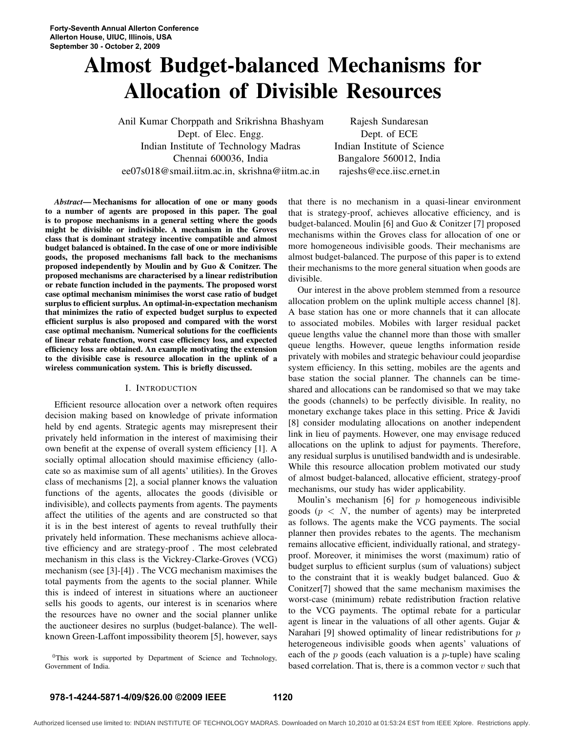# **Almost Budget-balanced Mechanisms for Allocation of Divisible Resources**

Anil Kumar Chorppath and Srikrishna Bhashyam Rajesh Sundaresan Dept. of Elec. Engg. Dept. of ECE Indian Institute of Technology Madras Indian Institute of Science Chennai 600036, India Bangalore 560012, India ee07s018@smail.iitm.ac.in, skrishna@iitm.ac.in rajeshs@ece.iisc.ernet.in

*Abstract***— Mechanisms for allocation of one or many goods to a number of agents are proposed in this paper. The goal is to propose mechanisms in a general setting where the goods might be divisible or indivisible. A mechanism in the Groves class that is dominant strategy incentive compatible and almost budget balanced is obtained. In the case of one or more indivisible goods, the proposed mechanisms fall back to the mechanisms proposed independently by Moulin and by Guo & Conitzer. The proposed mechanisms are characterised by a linear redistribution or rebate function included in the payments. The proposed worst case optimal mechanism minimises the worst case ratio of budget surplus to efficient surplus. An optimal-in-expectation mechanism that minimizes the ratio of expected budget surplus to expected efficient surplus is also proposed and compared with the worst case optimal mechanism. Numerical solutions for the coefficients of linear rebate function, worst case efficiency loss, and expected efficiency loss are obtained. An example motivating the extension to the divisible case is resource allocation in the uplink of a wireless communication system. This is briefly discussed.**

## I. INTRODUCTION

Efficient resource allocation over a network often requires decision making based on knowledge of private information held by end agents. Strategic agents may misrepresent their privately held information in the interest of maximising their own benefit at the expense of overall system efficiency [1]. A socially optimal allocation should maximise efficiency (allocate so as maximise sum of all agents' utilities). In the Groves class of mechanisms [2], a social planner knows the valuation functions of the agents, allocates the goods (divisible or indivisible), and collects payments from agents. The payments affect the utilities of the agents and are constructed so that it is in the best interest of agents to reveal truthfully their privately held information. These mechanisms achieve allocative efficiency and are strategy-proof . The most celebrated mechanism in this class is the Vickrey-Clarke-Groves (VCG) mechanism (see [3]-[4]) . The VCG mechanism maximises the total payments from the agents to the social planner. While this is indeed of interest in situations where an auctioneer sells his goods to agents, our interest is in scenarios where the resources have no owner and the social planner unlike the auctioneer desires no surplus (budget-balance). The wellknown Green-Laffont impossibility theorem [5], however, says

<sup>0</sup>This work is supported by Department of Science and Technology, Government of India.

that there is no mechanism in a quasi-linear environment that is strategy-proof, achieves allocative efficiency, and is budget-balanced. Moulin [6] and Guo & Conitzer [7] proposed mechanisms within the Groves class for allocation of one or more homogeneous indivisible goods. Their mechanisms are almost budget-balanced. The purpose of this paper is to extend their mechanisms to the more general situation when goods are divisible.

Our interest in the above problem stemmed from a resource allocation problem on the uplink multiple access channel [8]. A base station has one or more channels that it can allocate to associated mobiles. Mobiles with larger residual packet queue lengths value the channel more than those with smaller queue lengths. However, queue lengths information reside privately with mobiles and strategic behaviour could jeopardise system efficiency. In this setting, mobiles are the agents and base station the social planner. The channels can be timeshared and allocations can be randomised so that we may take the goods (channels) to be perfectly divisible. In reality, no monetary exchange takes place in this setting. Price & Javidi [8] consider modulating allocations on another independent link in lieu of payments. However, one may envisage reduced allocations on the uplink to adjust for payments. Therefore, any residual surplus is unutilised bandwidth and is undesirable. While this resource allocation problem motivated our study of almost budget-balanced, allocative efficient, strategy-proof mechanisms, our study has wider applicability.

Moulin's mechanism  $[6]$  for p homogeneous indivisible goods ( $p \lt N$ , the number of agents) may be interpreted as follows. The agents make the VCG payments. The social planner then provides rebates to the agents. The mechanism remains allocative efficient, individually rational, and strategyproof. Moreover, it minimises the worst (maximum) ratio of budget surplus to efficient surplus (sum of valuations) subject to the constraint that it is weakly budget balanced. Guo & Conitzer[7] showed that the same mechanism maximises the worst-case (minimum) rebate redistribution fraction relative to the VCG payments. The optimal rebate for a particular agent is linear in the valuations of all other agents. Gujar & Narahari [9] showed optimality of linear redistributions for  $p$ heterogeneous indivisible goods when agents' valuations of each of the  $p$  goods (each valuation is a  $p$ -tuple) have scaling based correlation. That is, there is a common vector  $v$  such that

## **978-1-4244-5871-4/09/\$26.00 ©2009 IEEE 1120**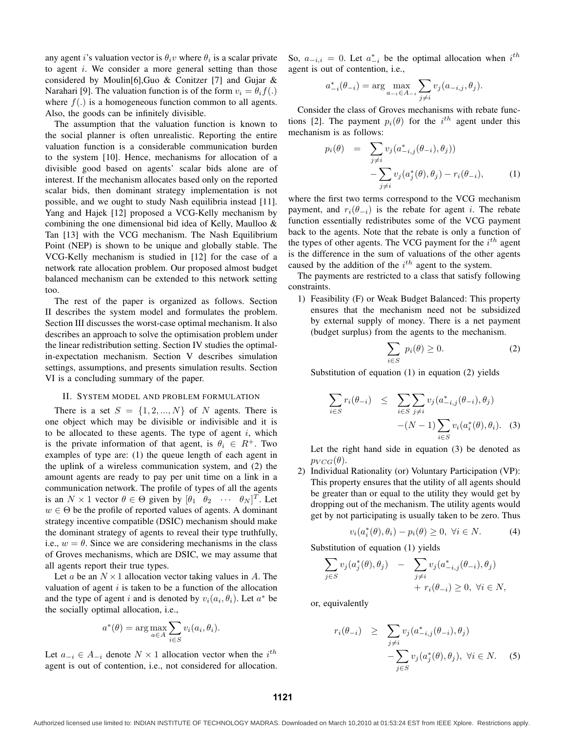any agent *i*'s valuation vector is  $\theta_i v$  where  $\theta_i$  is a scalar private to agent  $i$ . We consider a more general setting than those considered by Moulin[6],Guo & Conitzer [7] and Gujar & Narahari [9]. The valuation function is of the form  $v_i = \theta_i f(.)$ where  $f(.)$  is a homogeneous function common to all agents. Also, the goods can be infinitely divisible.

The assumption that the valuation function is known to the social planner is often unrealistic. Reporting the entire valuation function is a considerable communication burden to the system [10]. Hence, mechanisms for allocation of a divisible good based on agents' scalar bids alone are of interest. If the mechanism allocates based only on the reported scalar bids, then dominant strategy implementation is not possible, and we ought to study Nash equilibria instead [11]. Yang and Hajek [12] proposed a VCG-Kelly mechanism by combining the one dimensional bid idea of Kelly, Maulloo & Tan [13] with the VCG mechanism. The Nash Equilibrium Point (NEP) is shown to be unique and globally stable. The VCG-Kelly mechanism is studied in [12] for the case of a network rate allocation problem. Our proposed almost budget balanced mechanism can be extended to this network setting too.

The rest of the paper is organized as follows. Section II describes the system model and formulates the problem. Section III discusses the worst-case optimal mechanism. It also describes an approach to solve the optimisation problem under the linear redistribution setting. Section IV studies the optimalin-expectation mechanism. Section V describes simulation settings, assumptions, and presents simulation results. Section VI is a concluding summary of the paper.

#### II. SYSTEM MODEL AND PROBLEM FORMULATION

There is a set  $S = \{1, 2, ..., N\}$  of N agents. There is one object which may be divisible or indivisible and it is to be allocated to these agents. The type of agent  $i$ , which is the private information of that agent, is  $\theta_i \in R^+$ . Two examples of type are: (1) the queue length of each agent in the uplink of a wireless communication system, and (2) the amount agents are ready to pay per unit time on a link in a communication network. The profile of types of all the agents is an  $N \times 1$  vector  $\theta \in \Theta$  given by  $\begin{bmatrix} \theta_1 & \theta_2 & \cdots & \theta_N \end{bmatrix}^T$ . Let  $w \in \Theta$  be the profile of reported values of agents. A dominant strategy incentive compatible (DSIC) mechanism should make the dominant strategy of agents to reveal their type truthfully, i.e.,  $w = \theta$ . Since we are considering mechanisms in the class of Groves mechanisms, which are DSIC, we may assume that all agents report their true types.

Let a be an  $N \times 1$  allocation vector taking values in A. The valuation of agent  $i$  is taken to be a function of the allocation and the type of agent i and is denoted by  $v_i(a_i, \theta_i)$ . Let  $a^*$  be the socially optimal allocation, i.e.,

$$
a^*(\theta) = \arg \max_{a \in A} \sum_{i \in S} v_i(a_i, \theta_i).
$$

Let  $a_{-i} \in A_{-i}$  denote  $N \times 1$  allocation vector when the  $i^{th}$ agent is out of contention, i.e., not considered for allocation. So,  $a_{-i,i} = 0$ . Let  $a_{-i}^*$  be the optimal allocation when  $i^{th}$ agent is out of contention, i.e.,

$$
a_{-i}^*(\theta_{-i}) = \arg \max_{a_{-i} \in A_{-i}} \sum_{j \neq i} v_j(a_{-i,j}, \theta_j).
$$

Consider the class of Groves mechanisms with rebate functions [2]. The payment  $p_i(\theta)$  for the  $i^{th}$  agent under this mechanism is as follows:

$$
p_i(\theta) = \sum_{j \neq i} v_j(a_{-i,j}^*(\theta_{-i}), \theta_j))
$$
  
- 
$$
\sum_{j \neq i} v_j(a_j^*(\theta), \theta_j) - r_i(\theta_{-i}),
$$
 (1)

where the first two terms correspond to the VCG mechanism payment, and  $r_i(\theta_{-i})$  is the rebate for agent *i*. The rebate function essentially redistributes some of the VCG payment back to the agents. Note that the rebate is only a function of the types of other agents. The VCG payment for the  $i^{th}$  agent is the difference in the sum of valuations of the other agents caused by the addition of the  $i^{th}$  agent to the system.

The payments are restricted to a class that satisfy following constraints.

1) Feasibility (F) or Weak Budget Balanced: This property ensures that the mechanism need not be subsidized by external supply of money. There is a net payment (budget surplus) from the agents to the mechanism.

$$
\sum_{i \in S} \ p_i(\theta) \ge 0. \tag{2}
$$

Substitution of equation (1) in equation (2) yields

$$
\sum_{i \in S} r_i(\theta_{-i}) \leq \sum_{i \in S} \sum_{j \neq i} v_j(a^*_{-i,j}(\theta_{-i}), \theta_j) - (N-1) \sum_{i \in S} v_i(a^*_{i}(\theta), \theta_i). \quad (3)
$$

Let the right hand side in equation (3) be denoted as  $p_{VCG}(\theta)$ .

2) Individual Rationality (or) Voluntary Participation (VP): This property ensures that the utility of all agents should be greater than or equal to the utility they would get by dropping out of the mechanism. The utility agents would get by not participating is usually taken to be zero. Thus

$$
v_i(a_i^*(\theta), \theta_i) - p_i(\theta) \ge 0, \ \forall i \in N. \tag{4}
$$

Substitution of equation (1) yields

$$
\sum_{j \in S} v_j(a_j^*(\theta), \theta_j) - \sum_{j \neq i} v_j(a_{-i,j}^*(\theta_{-i}), \theta_j) + r_i(\theta_{-i}) \geq 0, \ \forall i \in N,
$$

or, equivalently

$$
r_i(\theta_{-i}) \geq \sum_{j \neq i} v_j(a^*_{-i,j}(\theta_{-i}), \theta_j) - \sum_{j \in S} v_j(a^*_j(\theta), \theta_j), \ \forall i \in N. \tag{5}
$$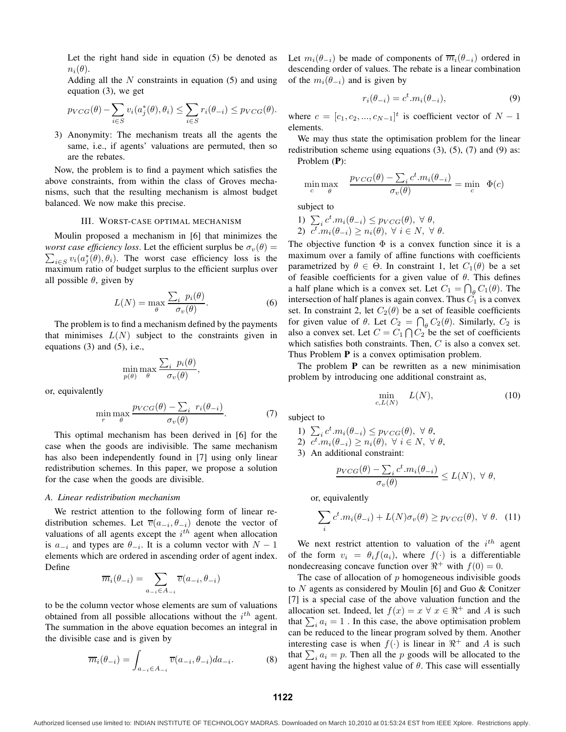Let the right hand side in equation (5) be denoted as  $n_i(\theta)$ .

Adding all the  $N$  constraints in equation (5) and using equation (3), we get

$$
p_{VCG}(\theta) - \sum_{i \in S} v_i(a_j^*(\theta), \theta_i) \le \sum_{i \in S} r_i(\theta_{-i}) \le p_{VCG}(\theta).
$$

3) Anonymity: The mechanism treats all the agents the same, i.e., if agents' valuations are permuted, then so are the rebates.

Now, the problem is to find a payment which satisfies the above constraints, from within the class of Groves mechanisms, such that the resulting mechanism is almost budget balanced. We now make this precise.

#### III. WORST-CASE OPTIMAL MECHANISM

Moulin proposed a mechanism in [6] that minimizes the  $\sum_{i \in S} v_i(a_j^*(\theta), \theta_i)$ . The worst case efficiency loss is the *worst case efficiency loss.* Let the efficient surplus be  $\sigma_v(\theta)$  = maximum ratio of budget surplus to the efficient surplus over all possible  $\theta$ , given by

$$
L(N) = \max_{\theta} \frac{\sum_{i} p_i(\theta)}{\sigma_v(\theta)}.
$$
 (6)

The problem is to find a mechanism defined by the payments that minimises  $L(N)$  subject to the constraints given in equations (3) and (5), i.e.,

$$
\min_{p(\theta)} \max_{\theta} \frac{\sum_{i} p_i(\theta)}{\sigma_v(\theta)},
$$

or, equivalently

$$
\min_{r} \max_{\theta} \frac{p_{VCG}(\theta) - \sum_{i} r_i(\theta_{-i})}{\sigma_v(\theta)}.
$$
 (7)

This optimal mechanism has been derived in [6] for the case when the goods are indivisible. The same mechanism has also been independently found in [7] using only linear redistribution schemes. In this paper, we propose a solution for the case when the goods are divisible.

## *A. Linear redistribution mechanism*

We restrict attention to the following form of linear redistribution schemes. Let  $\overline{v}(a_{-i}, \theta_{-i})$  denote the vector of valuations of all agents except the  $i<sup>th</sup>$  agent when allocation is  $a_{-i}$  and types are  $\theta_{-i}$ . It is a column vector with  $N-1$ elements which are ordered in ascending order of agent index. Define

$$
\overline{m}_i(\theta_{-i}) = \sum_{a_{-i} \in A_{-i}} \overline{v}(a_{-i}, \theta_{-i})
$$

to be the column vector whose elements are sum of valuations obtained from all possible allocations without the  $i^{th}$  agent. The summation in the above equation becomes an integral in the divisible case and is given by

$$
\overline{m}_i(\theta_{-i}) = \int_{a_{-i} \in A_{-i}} \overline{v}(a_{-i}, \theta_{-i}) da_{-i}.
$$
 (8)

Let  $m_i(\theta_{-i})$  be made of components of  $\overline{m}_i(\theta_{-i})$  ordered in descending order of values. The rebate is a linear combination of the  $m_i(\theta_{-i})$  and is given by

$$
r_i(\theta_{-i}) = c^t.m_i(\theta_{-i}),\tag{9}
$$

where  $c = [c_1, c_2, ..., c_{N-1}]^t$  is coefficient vector of  $N-1$ elements.

We may thus state the optimisation problem for the linear redistribution scheme using equations  $(3)$ ,  $(5)$ ,  $(7)$  and  $(9)$  as: Problem (**P**):

$$
\min_{c} \max_{\theta} \quad \frac{p_{VCG}(\theta) - \sum_{i} c^{t} m_i(\theta_{-i})}{\sigma_v(\theta)} = \min_{c} \quad \Phi(c)
$$

subject to

1)  $\sum_i c^t.m_i(\theta_{-i}) \leq p_{VCG}(\theta), \ \forall \ \theta,$ 2)  $c^t.m_i(\theta_{-i}) \geq n_i(\theta), \ \forall \ i \in N, \ \forall \ \theta.$ 

The objective function  $\Phi$  is a convex function since it is a maximum over a family of affine functions with coefficients parametrized by  $\theta \in \Theta$ . In constraint 1, let  $C_1(\theta)$  be a set of feasible coefficients for a given value of  $\theta$ . This defines a half plane which is a convex set. Let  $C_1 = \bigcap_{\theta} C_1(\theta)$ . The intersection of half planes is again convex. Thus  $\tilde{C}_1$  is a convex set. In constraint 2, let  $C_2(\theta)$  be a set of feasible coefficients for given value of  $\theta$ . Let  $C_2 = \bigcap_{\theta} C_2(\theta)$ . Similarly,  $C_2$  is also a convex set. Let  $C = C_1 \bigcap C_2$  be the set of coefficients which satisfies both constraints. Then,  $C$  is also a convex set. Thus Problem **P** is a convex optimisation problem.

The problem **P** can be rewritten as a new minimisation problem by introducing one additional constraint as,

$$
\min_{c, L(N)} L(N), \tag{10}
$$

subject to

- 1)  $\sum_i c^t \cdot m_i(\theta_{-i}) \leq p_{VCG}(\theta), \ \forall \ \theta,$ 2)  $c^t.m_i(\theta_{-i}) \geq n_i(\theta), \ \forall \ i \in N, \ \forall \ \theta,$
- 3) An additional constraint:

$$
\frac{p_{VCG}(\theta) - \sum_{i} c^t.m_i(\theta_{-i})}{\sigma_v(\theta)} \le L(N), \ \forall \ \theta,
$$

or, equivalently

$$
\sum_{i} c^{t} m_{i}(\theta_{-i}) + L(N)\sigma_{v}(\theta) \ge p_{VCG}(\theta), \ \forall \ \theta. \tag{11}
$$

We next restrict attention to valuation of the  $i^{th}$  agent of the form  $v_i = \theta_i f(a_i)$ , where  $f(\cdot)$  is a differentiable nondecreasing concave function over  $\mathbb{R}^+$  with  $f(0) = 0$ .

The case of allocation of  $p$  homogeneous indivisible goods to  $N$  agents as considered by Moulin [6] and Guo  $&$  Conitzer [7] is a special case of the above valuation function and the allocation set. Indeed, let  $f(x) = x \forall x \in \mathbb{R}^+$  and A is such that  $\sum_i a_i = 1$ . In this case, the above optimisation problem can be reduced to the linear program solved by them. Another interesting case is when  $f(\cdot)$  is linear in  $\mathbb{R}^+$  and A is such that  $\sum_i a_i = p$ . Then all the p goods will be allocated to the agent having the highest value of  $\theta$ . This case will essentially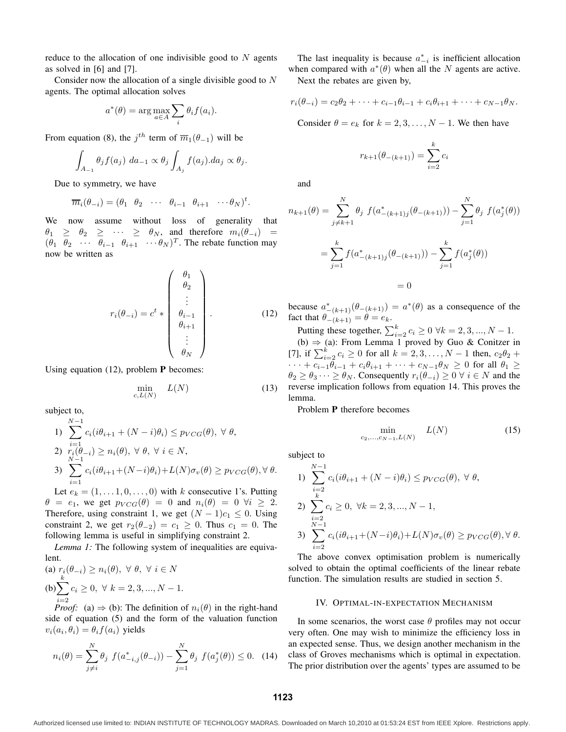reduce to the allocation of one indivisible good to  $N$  agents as solved in [6] and [7].

Consider now the allocation of a single divisible good to  $N$ agents. The optimal allocation solves

$$
a^*(\theta) = \arg \max_{a \in A} \sum_i \theta_i f(a_i).
$$

From equation (8), the  $j^{th}$  term of  $\overline{m}_1(\theta_{-1})$  will be

$$
\int_{A_{-1}} \theta_j f(a_j) \, da_{-1} \propto \theta_j \int_{A_j} f(a_j) \, da_j \propto \theta_j.
$$

Due to symmetry, we have

$$
\overline{m}_i(\theta_{-i}) = (\theta_1 \ \theta_2 \ \cdots \ \theta_{i-1} \ \theta_{i+1} \ \cdots \theta_N)^t.
$$

We now assume without loss of generality that  $\theta_1 \geq \theta_2 \geq \cdots \geq \theta_N$ , and therefore  $m_i(\theta_{-i}) =$  $(\theta_1 \ \theta_2 \ \cdots \ \theta_{i-1} \ \theta_{i+1} \ \cdots \theta_N)^T$ . The rebate function may now be written as

$$
r_i(\theta_{-i}) = c^t * \begin{pmatrix} \theta_1 \\ \theta_2 \\ \vdots \\ \theta_{i-1} \\ \theta_{i+1} \\ \vdots \\ \theta_N \end{pmatrix} . \tag{12}
$$

Using equation (12), problem **P** becomes:

$$
\min_{c, L(N)} L(N) \tag{13}
$$

subject to,

1) 
$$
\sum_{i=1}^{N-1} c_i (i\theta_{i+1} + (N-i)\theta_i) \leq p_{VCG}(\theta), \forall \theta,
$$
  
\n2) 
$$
r_i(\theta_{-i}) \geq n_i(\theta), \forall \theta, \forall i \in N,
$$
  
\n3) 
$$
\sum_{i=1}^{N-1} c_i (i\theta_{i+1} + (N-i)\theta_i) + L(N)\sigma_v(\theta) \geq p_{VCG}(\theta), \forall \theta.
$$
  
\nLet  $c_i = (1, 1, 0, \ldots, 0)$  with k consecutive 1's Putting

Let  $e_k = (1, \ldots, 1, 0, \ldots, 0)$  with k consecutive 1's. Putting  $\theta = e_1$ , we get  $p_{VCG}(\theta) = 0$  and  $n_i(\theta) = 0 \ \forall i \geq 2$ . Therefore, using constraint 1, we get  $(N - 1)c_1 \leq 0$ . Using constraint 2, we get  $r_2(\theta_{-2}) = c_1 \geq 0$ . Thus  $c_1 = 0$ . The following lemma is useful in simplifying constraint 2.

*Lemma 1:* The following system of inequalities are equivalent.

(a) 
$$
r_i(\theta_{-i}) \ge n_i(\theta), \forall \theta, \forall i \in N
$$
  
\n(b)  $\sum_{i=2}^k c_i \ge 0, \forall k = 2, 3, ..., N - 1.$ 

*Proof:* (a)  $\Rightarrow$  (b): The definition of  $n_i(\theta)$  in the right-hand side of equation (5) and the form of the valuation function  $v_i(a_i, \theta_i) = \theta_i f(a_i)$  yields

$$
n_i(\theta) = \sum_{j \neq i}^{N} \theta_j f(a^*_{-i,j}(\theta_{-i})) - \sum_{j=1}^{N} \theta_j f(a^*_{j}(\theta)) \leq 0. \quad (14)
$$

The last inequality is because  $a_{-i}^*$  is inefficient allocation when compared with  $a^*(\theta)$  when all the N agents are active.

Next the rebates are given by,

$$
r_i(\theta_{-i}) = c_2\theta_2 + \cdots + c_{i-1}\theta_{i-1} + c_i\theta_{i+1} + \cdots + c_{N-1}\theta_N.
$$

Consider  $\theta = e_k$  for  $k = 2, 3, ..., N - 1$ . We then have

$$
r_{k+1}(\theta_{-(k+1)}) = \sum_{i=2}^{k} c_i
$$

and

$$
n_{k+1}(\theta) = \sum_{j \neq k+1}^{N} \theta_j f(a_{-(k+1)j}^*(\theta_{-(k+1)})) - \sum_{j=1}^{N} \theta_j f(a_j^*(\theta))
$$
  
= 
$$
\sum_{j=1}^{k} f(a_{-(k+1)j}^*(\theta_{-(k+1)})) - \sum_{j=1}^{k} f(a_j^*(\theta))
$$
  
= 0

because  $a_{-(k+1)}^*(\theta_{-(k+1)}) = a^*(\theta)$  as a consequence of the fact that  $\theta_{-(k+1)} = \theta = e_k$ .

Putting these together,  $\sum_{i=2}^{k} c_i \ge 0 \ \forall k = 2, 3, ..., N - 1$ .

(b)  $\Rightarrow$  (a): From Lemma 1 proved by Guo & Conitzer in [7], if  $\sum_{i=2}^{k} c_i \ge 0$  for all  $k = 2, 3, ..., N - 1$  then,  $c_2 \theta_2 + c_1 \theta_1$  $\cdots + c_{i-1}e_{i-1}$  +  $c_i\theta_{i+1}$  +  $\cdots$  +  $c_{N-1}\theta_N \geq 0$  for all  $\theta_1 \geq$  $\theta_2 \ge \theta_3 \cdots \ge \theta_N$ . Consequently  $r_i(\theta_{-i}) \ge 0 \ \forall i \in N$  and the reverse implication follows from equation 14. This proves the lemma.

Problem **P** therefore becomes

$$
\min_{c_2,\ldots,c_{N-1},L(N)} L(N) \tag{15}
$$

subject to

1) 
$$
\sum_{i=2}^{N-1} c_i (i\theta_{i+1} + (N-i)\theta_i) \leq p_{VCG}(\theta), \forall \theta,
$$
  
\n2) 
$$
\sum_{i=2}^{k} c_i \geq 0, \forall k = 2, 3, ..., N-1,
$$
  
\n3) 
$$
\sum_{i=2}^{N-1} c_i (i\theta_{i+1} + (N-i)\theta_i) + L(N)\sigma_v(\theta) \geq p_{VCG}(\theta), \forall \theta.
$$

The above convex optimisation problem is numerically solved to obtain the optimal coefficients of the linear rebate function. The simulation results are studied in section 5.

## IV. OPTIMAL-IN-EXPECTATION MECHANISM

In some scenarios, the worst case  $\theta$  profiles may not occur very often. One may wish to minimize the efficiency loss in an expected sense. Thus, we design another mechanism in the class of Groves mechanisms which is optimal in expectation. The prior distribution over the agents' types are assumed to be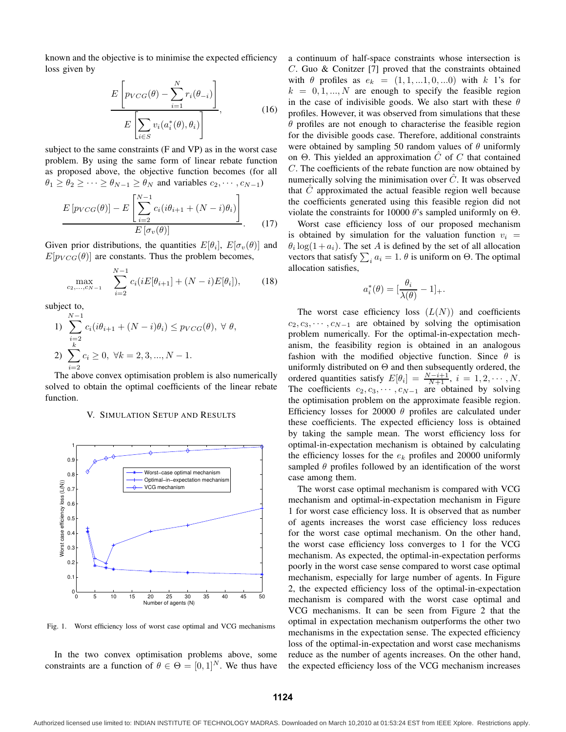known and the objective is to minimise the expected efficiency loss given by

$$
E\left[p_{VCG}(\theta) - \sum_{i=1}^{N} r_i(\theta_{-i})\right] \tag{16}
$$

$$
E\left[\sum_{i \in S} v_i(a_i^*(\theta), \theta_i)\right]
$$

subject to the same constraints (F and VP) as in the worst case problem. By using the same form of linear rebate function as proposed above, the objective function becomes (for all  $\theta_1 \geq \theta_2 \geq \cdots \geq \theta_{N-1} \geq \theta_N$  and variables  $c_2, \cdots, c_{N-1}$ )

$$
E\left[p_{VCG}(\theta)\right] - E\left[\sum_{i=2}^{N-1} c_i (i\theta_{i+1} + (N-i)\theta_i)\right] - E\left[\sigma_v(\theta)\right].
$$
 (17)

Given prior distributions, the quantities  $E[\theta_i], E[\sigma_i(\theta)]$  and  $E[p_{VCG}(\theta)]$  are constants. Thus the problem becomes,

$$
\max_{c_2,\dots,c_{N-1}} \sum_{i=2}^{N-1} c_i (iE[\theta_{i+1}] + (N-i)E[\theta_i]), \qquad (18)
$$

subject to,

1) 
$$
\sum_{i=2}^{N-1} c_i (i\theta_{i+1} + (N-i)\theta_i) \leq p_{VCG}(\theta), \ \forall \ \theta,
$$
  
2) 
$$
\sum_{i=2}^{k} c_i \geq 0, \ \forall k = 2, 3, ..., N-1.
$$

The above convex optimisation problem is also numerically solved to obtain the optimal coefficients of the linear rebate function.

#### V. SIMULATION SETUP AND RESULTS



Fig. 1. Worst efficiency loss of worst case optimal and VCG mechanisms

In the two convex optimisation problems above, some constraints are a function of  $\theta \in \Theta = [0, 1]^N$ . We thus have a continuum of half-space constraints whose intersection is C. Guo & Conitzer [7] proved that the constraints obtained with  $\theta$  profiles as  $e_k = (1, 1, \dots, 1, 0, \dots, 0)$  with k 1's for  $k = 0, 1, ..., N$  are enough to specify the feasible region in the case of indivisible goods. We also start with these  $\theta$ profiles. However, it was observed from simulations that these  $\theta$  profiles are not enough to characterise the feasible region for the divisible goods case. Therefore, additional constraints were obtained by sampling 50 random values of  $\theta$  uniformly on  $\Theta$ . This yielded an approximation  $\hat{C}$  of  $C$  that contained C. The coefficients of the rebate function are now obtained by numerically solving the minimisation over  $\hat{C}$ . It was observed that  $C$  approximated the actual feasible region well because the coefficients generated using this feasible region did not violate the constraints for 10000  $\theta$ 's sampled uniformly on  $\Theta$ .

Worst case efficiency loss of our proposed mechanism is obtained by simulation for the valuation function  $v_i$  =  $\theta_i \log(1 + a_i)$ . The set A is defined by the set of all allocation vectors that satisfy  $\sum_i a_i = 1$ .  $\theta$  is uniform on  $\Theta$ . The optimal allocation satisfies,

$$
a_i^*(\theta) = \left[\frac{\theta_i}{\lambda(\theta)} - 1\right]_+.
$$

The worst case efficiency loss  $(L(N))$  and coefficients  $c_2, c_3, \cdots, c_{N-1}$  are obtained by solving the optimisation problem numerically. For the optimal-in-expectation mechanism, the feasibility region is obtained in an analogous fashion with the modified objective function. Since  $\theta$  is uniformly distributed on  $\Theta$  and then subsequently ordered, the ordered quantities satisfy  $E[\theta_i] = \frac{N-i+1}{N+1}, i = 1, 2, \cdots, N$ . The coefficients  $c_2, c_3, \cdots, c_{N-1}$  are obtained by solving the optimisation problem on the approximate feasible region. Efficiency losses for 20000  $\theta$  profiles are calculated under these coefficients. The expected efficiency loss is obtained by taking the sample mean. The worst efficiency loss for optimal-in-expectation mechanism is obtained by calculating the efficiency losses for the  $e_k$  profiles and 20000 uniformly sampled  $\theta$  profiles followed by an identification of the worst case among them.

The worst case optimal mechanism is compared with VCG mechanism and optimal-in-expectation mechanism in Figure 1 for worst case efficiency loss. It is observed that as number of agents increases the worst case efficiency loss reduces for the worst case optimal mechanism. On the other hand, the worst case efficiency loss converges to 1 for the VCG mechanism. As expected, the optimal-in-expectation performs poorly in the worst case sense compared to worst case optimal mechanism, especially for large number of agents. In Figure 2, the expected efficiency loss of the optimal-in-expectation mechanism is compared with the worst case optimal and VCG mechanisms. It can be seen from Figure 2 that the optimal in expectation mechanism outperforms the other two mechanisms in the expectation sense. The expected efficiency loss of the optimal-in-expectation and worst case mechanisms reduce as the number of agents increases. On the other hand, the expected efficiency loss of the VCG mechanism increases